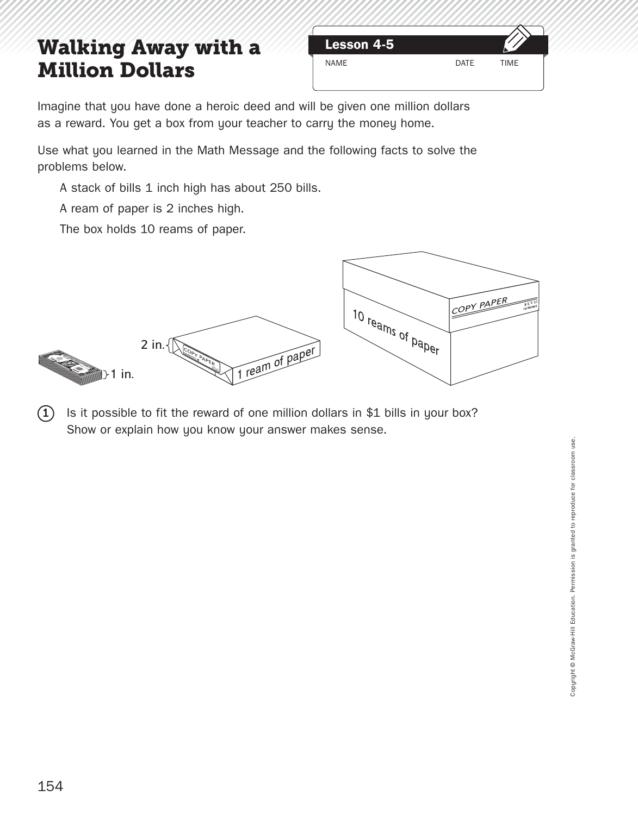## **Walking Away with a Lesson 4-5 Million Dollars**



Imagine that you have done a heroic deed and will be given one million dollars as a reward. You get a box from your teacher to carry the money home.

Use what you learned in the Math Message and the following facts to solve the problems below.

A stack of bills 1 inch high has about 250 bills.

A ream of paper is 2 inches high.

The box holds 10 reams of paper.



 $(1)$  Is it possible to fit the reward of one million dollars in \$1 bills in your box? Show or explain how you know your answer makes sense.